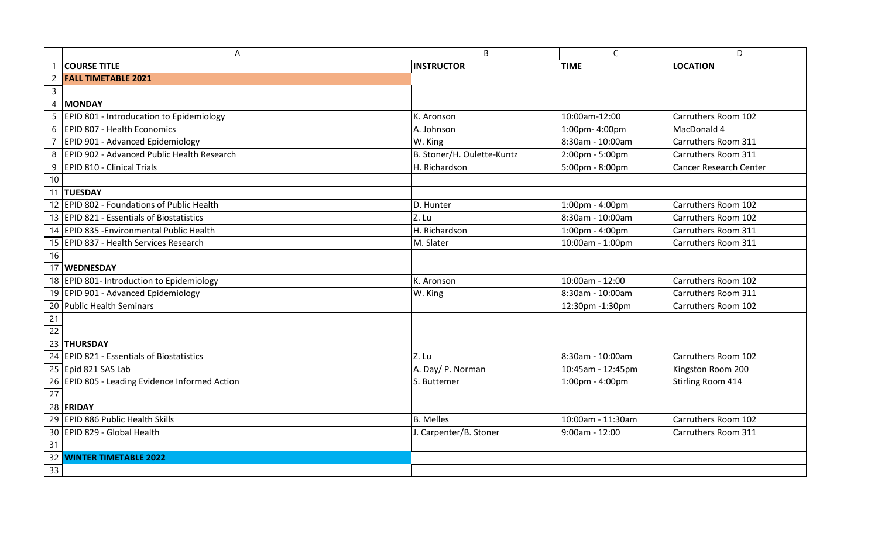|                 | A                                              | B                          | $\mathsf{C}$      | D                             |
|-----------------|------------------------------------------------|----------------------------|-------------------|-------------------------------|
|                 | <b>COURSE TITLE</b>                            | <b>INSTRUCTOR</b>          | <b>TIME</b>       | <b>LOCATION</b>               |
| $\overline{2}$  | <b>FALL TIMETABLE 2021</b>                     |                            |                   |                               |
| $\overline{3}$  |                                                |                            |                   |                               |
| $\overline{4}$  | <b>MONDAY</b>                                  |                            |                   |                               |
| 5               | EPID 801 - Introducation to Epidemiology       | K. Aronson                 | 10:00am-12:00     | Carruthers Room 102           |
| 6               | EPID 807 - Health Economics                    | A. Johnson                 | 1:00pm-4:00pm     | MacDonald 4                   |
|                 | EPID 901 - Advanced Epidemiology               | W. King                    | 8:30am - 10:00am  | Carruthers Room 311           |
| 8               | EPID 902 - Advanced Public Health Research     | B. Stoner/H. Oulette-Kuntz | 2:00pm - 5:00pm   | Carruthers Room 311           |
|                 | 9   EPID 810 - Clinical Trials                 | H. Richardson              | 5:00pm - 8:00pm   | <b>Cancer Research Center</b> |
| 10              |                                                |                            |                   |                               |
|                 | 11 TUESDAY                                     |                            |                   |                               |
|                 | 12 EPID 802 - Foundations of Public Health     | D. Hunter                  | 1:00pm - 4:00pm   | Carruthers Room 102           |
|                 | 13 EPID 821 - Essentials of Biostatistics      | Z. Lu                      | 8:30am - 10:00am  | Carruthers Room 102           |
|                 | 14 EPID 835 - Environmental Public Health      | H. Richardson              | 1:00pm - 4:00pm   | Carruthers Room 311           |
|                 | 15   EPID 837 - Health Services Research       | M. Slater                  | 10:00am - 1:00pm  | Carruthers Room 311           |
| 16              |                                                |                            |                   |                               |
|                 | 17 WEDNESDAY                                   |                            |                   |                               |
|                 | 18 EPID 801- Introduction to Epidemiology      | K. Aronson                 | 10:00am - 12:00   | Carruthers Room 102           |
|                 | 19 EPID 901 - Advanced Epidemiology            | W. King                    | 8:30am - 10:00am  | Carruthers Room 311           |
|                 | 20 Public Health Seminars                      |                            | 12:30pm -1:30pm   | Carruthers Room 102           |
| 21              |                                                |                            |                   |                               |
| $\overline{22}$ |                                                |                            |                   |                               |
|                 | 23 THURSDAY                                    |                            |                   |                               |
|                 | 24 EPID 821 - Essentials of Biostatistics      | Z. Lu                      | 8:30am - 10:00am  | Carruthers Room 102           |
|                 | 25 Epid 821 SAS Lab                            | A. Day/ P. Norman          | 10:45am - 12:45pm | Kingston Room 200             |
|                 | 26 EPID 805 - Leading Evidence Informed Action | S. Buttemer                | 1:00pm - 4:00pm   | Stirling Room 414             |
| 27              |                                                |                            |                   |                               |
|                 | 28 FRIDAY                                      |                            |                   |                               |
|                 | 29 EPID 886 Public Health Skills               | <b>B.</b> Melles           | 10:00am - 11:30am | Carruthers Room 102           |
|                 | 30 EPID 829 - Global Health                    | J. Carpenter/B. Stoner     | 9:00am - 12:00    | Carruthers Room 311           |
| 31              |                                                |                            |                   |                               |
|                 | 32 WINTER TIMETABLE 2022                       |                            |                   |                               |
| 33              |                                                |                            |                   |                               |